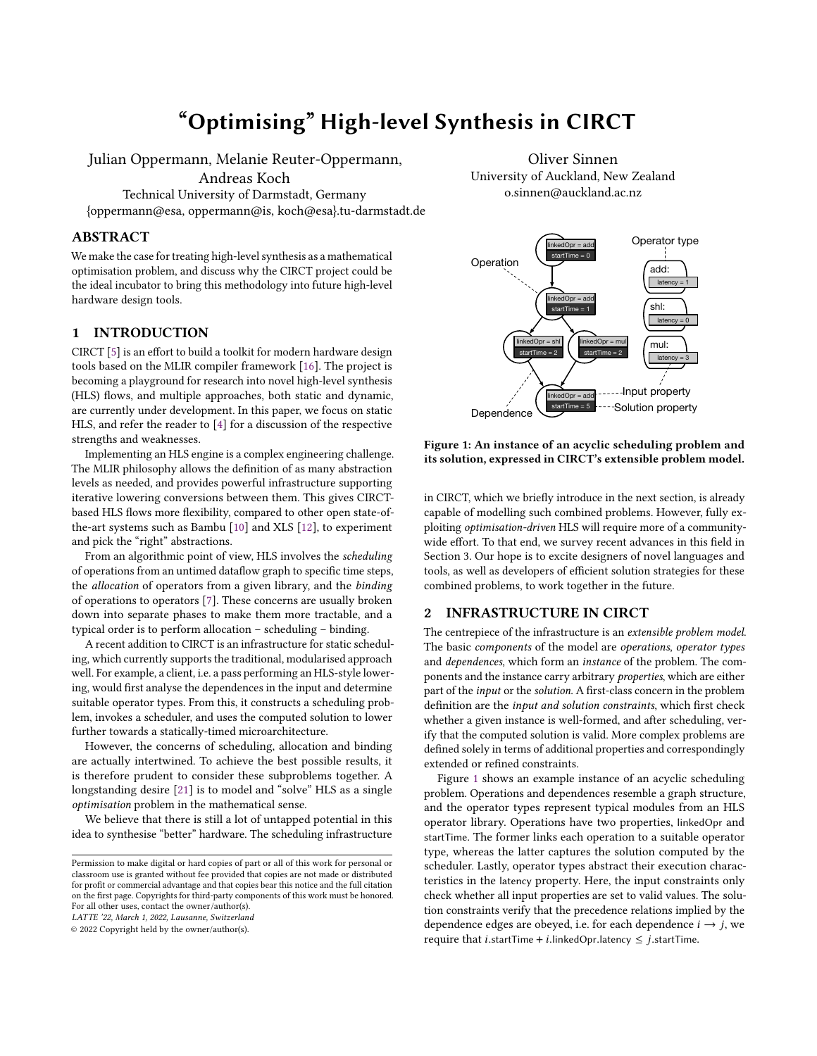# "Optimising" High-level Synthesis in CIRCT

Julian Oppermann, Melanie Reuter-Oppermann, Andreas Koch Technical University of Darmstadt, Germany

{oppermann@esa, oppermann@is, koch@esa}.tu-darmstadt.de

## ABSTRACT

We make the case for treating high-level synthesis as a mathematical optimisation problem, and discuss why the CIRCT project could be the ideal incubator to bring this methodology into future high-level hardware design tools.

## 1 INTRODUCTION

CIRCT [\[5\]](#page-2-0) is an effort to build a toolkit for modern hardware design tools based on the MLIR compiler framework [\[16\]](#page-2-1). The project is becoming a playground for research into novel high-level synthesis (HLS) flows, and multiple approaches, both static and dynamic, are currently under development. In this paper, we focus on static HLS, and refer the reader to [\[4\]](#page-2-2) for a discussion of the respective strengths and weaknesses.

Implementing an HLS engine is a complex engineering challenge. The MLIR philosophy allows the definition of as many abstraction levels as needed, and provides powerful infrastructure supporting iterative lowering conversions between them. This gives CIRCTbased HLS flows more flexibility, compared to other open state-ofthe-art systems such as Bambu [\[10\]](#page-2-3) and XLS [\[12\]](#page-2-4), to experiment and pick the "right" abstractions.

From an algorithmic point of view, HLS involves the scheduling of operations from an untimed dataflow graph to specific time steps, the allocation of operators from a given library, and the binding of operations to operators [\[7\]](#page-2-5). These concerns are usually broken down into separate phases to make them more tractable, and a typical order is to perform allocation – scheduling – binding.

A recent addition to CIRCT is an infrastructure for static scheduling, which currently supports the traditional, modularised approach well. For example, a client, i.e. a pass performing an HLS-style lowering, would first analyse the dependences in the input and determine suitable operator types. From this, it constructs a scheduling problem, invokes a scheduler, and uses the computed solution to lower further towards a statically-timed microarchitecture.

However, the concerns of scheduling, allocation and binding are actually intertwined. To achieve the best possible results, it is therefore prudent to consider these subproblems together. A longstanding desire [\[21\]](#page-2-6) is to model and "solve" HLS as a single optimisation problem in the mathematical sense.

We believe that there is still a lot of untapped potential in this idea to synthesise "better" hardware. The scheduling infrastructure

LATTE '22, March 1, 2022, Lausanne, Switzerland

© 2022 Copyright held by the owner/author(s).

Oliver Sinnen University of Auckland, New Zealand o.sinnen@auckland.ac.nz

<span id="page-0-0"></span>

#### Figure 1: An instance of an acyclic scheduling problem and its solution, expressed in CIRCT's extensible problem model.

in CIRCT, which we briefly introduce in the next section, is already capable of modelling such combined problems. However, fully exploiting optimisation-driven HLS will require more of a communitywide effort. To that end, we survey recent advances in this field in Section 3. Our hope is to excite designers of novel languages and tools, as well as developers of efficient solution strategies for these combined problems, to work together in the future.

#### 2 INFRASTRUCTURE IN CIRCT

The centrepiece of the infrastructure is an extensible problem model. The basic components of the model are operations, operator types and dependences, which form an instance of the problem. The components and the instance carry arbitrary properties, which are either part of the input or the solution. A first-class concern in the problem definition are the input and solution constraints, which first check whether a given instance is well-formed, and after scheduling, verify that the computed solution is valid. More complex problems are defined solely in terms of additional properties and correspondingly extended or refined constraints.

Figure [1](#page-0-0) shows an example instance of an acyclic scheduling problem. Operations and dependences resemble a graph structure, and the operator types represent typical modules from an HLS operator library. Operations have two properties, linkedOpr and startTime. The former links each operation to a suitable operator type, whereas the latter captures the solution computed by the scheduler. Lastly, operator types abstract their execution characteristics in the latency property. Here, the input constraints only check whether all input properties are set to valid values. The solution constraints verify that the precedence relations implied by the dependence edges are obeyed, i.e. for each dependence  $i \rightarrow j$ , we require that *i*.startTime + *i*.linkedOpr.latency  $\leq$  *j*.startTime.

Permission to make digital or hard copies of part or all of this work for personal or classroom use is granted without fee provided that copies are not made or distributed for profit or commercial advantage and that copies bear this notice and the full citation on the first page. Copyrights for third-party components of this work must be honored. For all other uses, contact the owner/author(s).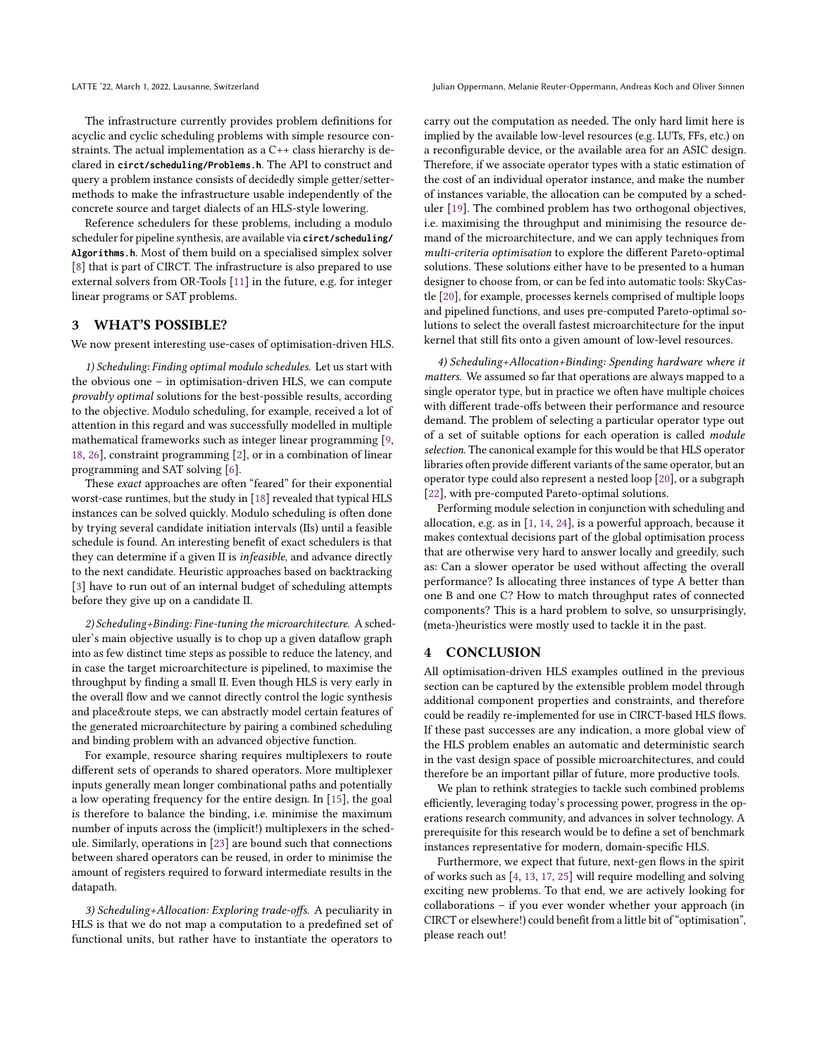LATTE '22, March 1, 2022, Lausanne, Switzerland Julian Oppermann, Melanie Reuter-Oppermann, Andreas Koch and Oliver Sinnen

The infrastructure currently provides problem definitions for acyclic and cyclic scheduling problems with simple resource constraints. The actual implementation as a C++ class hierarchy is declared in **circt/scheduling/Problems.h**. The API to construct and query a problem instance consists of decidedly simple getter/settermethods to make the infrastructure usable independently of the concrete source and target dialects of an HLS-style lowering.

Reference schedulers for these problems, including a modulo scheduler for pipeline synthesis, are available via **circt/scheduling/ Algorithms.h**. Most of them build on a specialised simplex solver [\[8\]](#page-2-7) that is part of CIRCT. The infrastructure is also prepared to use external solvers from OR-Tools [\[11\]](#page-2-8) in the future, e.g. for integer linear programs or SAT problems.

## 3 WHAT'S POSSIBLE?

We now present interesting use-cases of optimisation-driven HLS.

1) Scheduling: Finding optimal modulo schedules. Let us start with the obvious one – in optimisation-driven HLS, we can compute provably optimal solutions for the best-possible results, according to the objective. Modulo scheduling, for example, received a lot of attention in this regard and was successfully modelled in multiple mathematical frameworks such as integer linear programming [\[9,](#page-2-9) [18,](#page-2-10) [26\]](#page-2-11), constraint programming [\[2\]](#page-2-12), or in a combination of linear programming and SAT solving [\[6\]](#page-2-13).

These exact approaches are often "feared" for their exponential worst-case runtimes, but the study in [\[18\]](#page-2-10) revealed that typical HLS instances can be solved quickly. Modulo scheduling is often done by trying several candidate initiation intervals (IIs) until a feasible schedule is found. An interesting benefit of exact schedulers is that they can determine if a given II is infeasible, and advance directly to the next candidate. Heuristic approaches based on backtracking [\[3\]](#page-2-14) have to run out of an internal budget of scheduling attempts before they give up on a candidate II.

2) Scheduling+Binding: Fine-tuning the microarchitecture. A scheduler's main objective usually is to chop up a given dataflow graph into as few distinct time steps as possible to reduce the latency, and in case the target microarchitecture is pipelined, to maximise the throughput by finding a small II. Even though HLS is very early in the overall flow and we cannot directly control the logic synthesis and place&route steps, we can abstractly model certain features of the generated microarchitecture by pairing a combined scheduling and binding problem with an advanced objective function.

For example, resource sharing requires multiplexers to route different sets of operands to shared operators. More multiplexer inputs generally mean longer combinational paths and potentially a low operating frequency for the entire design. In [\[15\]](#page-2-15), the goal is therefore to balance the binding, i.e. minimise the maximum number of inputs across the (implicit!) multiplexers in the schedule. Similarly, operations in [\[23\]](#page-2-16) are bound such that connections between shared operators can be reused, in order to minimise the amount of registers required to forward intermediate results in the datapath.

3) Scheduling+Allocation: Exploring trade-offs. A peculiarity in HLS is that we do not map a computation to a predefined set of functional units, but rather have to instantiate the operators to carry out the computation as needed. The only hard limit here is implied by the available low-level resources (e.g. LUTs, FFs, etc.) on a reconfigurable device, or the available area for an ASIC design. Therefore, if we associate operator types with a static estimation of the cost of an individual operator instance, and make the number of instances variable, the allocation can be computed by a scheduler [\[19\]](#page-2-17). The combined problem has two orthogonal objectives, i.e. maximising the throughput and minimising the resource demand of the microarchitecture, and we can apply techniques from multi-criteria optimisation to explore the different Pareto-optimal solutions. These solutions either have to be presented to a human designer to choose from, or can be fed into automatic tools: SkyCastle [\[20\]](#page-2-18), for example, processes kernels comprised of multiple loops and pipelined functions, and uses pre-computed Pareto-optimal solutions to select the overall fastest microarchitecture for the input kernel that still fits onto a given amount of low-level resources.

4) Scheduling+Allocation+Binding: Spending hardware where it matters. We assumed so far that operations are always mapped to a single operator type, but in practice we often have multiple choices with different trade-offs between their performance and resource demand. The problem of selecting a particular operator type out of a set of suitable options for each operation is called module selection. The canonical example for this would be that HLS operator libraries often provide different variants of the same operator, but an operator type could also represent a nested loop [\[20\]](#page-2-18), or a subgraph [\[22\]](#page-2-19), with pre-computed Pareto-optimal solutions.

Performing module selection in conjunction with scheduling and allocation, e.g. as in [\[1,](#page-2-20) [14,](#page-2-21) [24\]](#page-2-22), is a powerful approach, because it makes contextual decisions part of the global optimisation process that are otherwise very hard to answer locally and greedily, such as: Can a slower operator be used without affecting the overall performance? Is allocating three instances of type A better than one B and one C? How to match throughput rates of connected components? This is a hard problem to solve, so unsurprisingly, (meta-)heuristics were mostly used to tackle it in the past.

## 4 CONCLUSION

All optimisation-driven HLS examples outlined in the previous section can be captured by the extensible problem model through additional component properties and constraints, and therefore could be readily re-implemented for use in CIRCT-based HLS flows. If these past successes are any indication, a more global view of the HLS problem enables an automatic and deterministic search in the vast design space of possible microarchitectures, and could therefore be an important pillar of future, more productive tools.

We plan to rethink strategies to tackle such combined problems efficiently, leveraging today's processing power, progress in the operations research community, and advances in solver technology. A prerequisite for this research would be to define a set of benchmark instances representative for modern, domain-specific HLS.

Furthermore, we expect that future, next-gen flows in the spirit of works such as [\[4,](#page-2-2) [13,](#page-2-23) [17,](#page-2-24) [25\]](#page-2-25) will require modelling and solving exciting new problems. To that end, we are actively looking for collaborations – if you ever wonder whether your approach (in CIRCT or elsewhere!) could benefit from a little bit of "optimisation", please reach out!